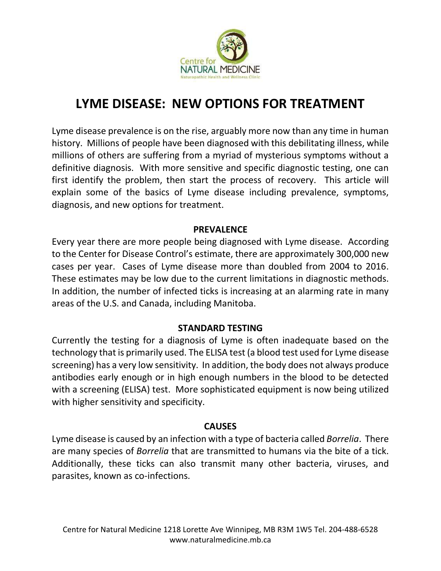

# **LYME DISEASE: NEW OPTIONS FOR TREATMENT**

Lyme disease prevalence is on the rise, arguably more now than any time in human history. Millions of people have been diagnosed with this debilitating illness, while millions of others are suffering from a myriad of mysterious symptoms without a definitive diagnosis. With more sensitive and specific diagnostic testing, one can first identify the problem, then start the process of recovery. This article will explain some of the basics of Lyme disease including prevalence, symptoms, diagnosis, and new options for treatment.

#### **PREVALENCE**

Every year there are more people being diagnosed with Lyme disease. According to the Center for Disease Control's estimate, there are approximately 300,000 new cases per year. Cases of Lyme disease more than doubled from 2004 to 2016. These estimates may be low due to the current limitations in diagnostic methods. In addition, the number of infected ticks is increasing at an alarming rate in many areas of the U.S. and Canada, including Manitoba.

#### **STANDARD TESTING**

Currently the testing for a diagnosis of Lyme is often inadequate based on the technology that is primarily used. The ELISA test (a blood test used for Lyme disease screening) has a very low sensitivity. In addition, the body does not always produce antibodies early enough or in high enough numbers in the blood to be detected with a screening (ELISA) test. More sophisticated equipment is now being utilized with higher sensitivity and specificity.

#### **CAUSES**

Lyme disease is caused by an infection with a type of bacteria called *Borrelia*. There are many species of *Borrelia* that are transmitted to humans via the bite of a tick. Additionally, these ticks can also transmit many other bacteria, viruses, and parasites, known as co-infections.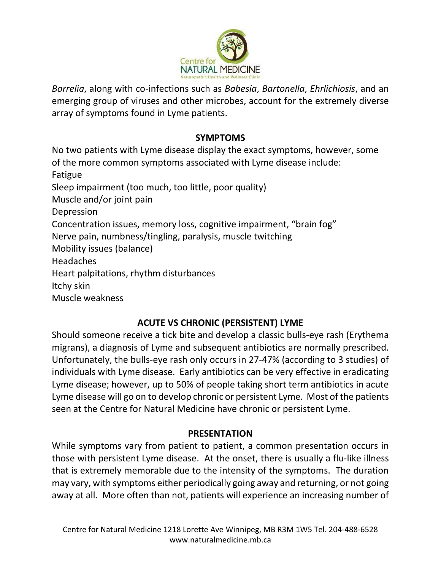

*Borrelia*, along with co-infections such as *Babesia*, *Bartonella*, *Ehrlichiosis*, and an emerging group of viruses and other microbes, account for the extremely diverse array of symptoms found in Lyme patients.

## **SYMPTOMS**

No two patients with Lyme disease display the exact symptoms, however, some of the more common symptoms associated with Lyme disease include: Fatigue Sleep impairment (too much, too little, poor quality) Muscle and/or joint pain Depression Concentration issues, memory loss, cognitive impairment, "brain fog" Nerve pain, numbness/tingling, paralysis, muscle twitching Mobility issues (balance) Headaches Heart palpitations, rhythm disturbances Itchy skin Muscle weakness

# **ACUTE VS CHRONIC (PERSISTENT) LYME**

Should someone receive a tick bite and develop a classic bulls-eye rash (Erythema migrans), a diagnosis of Lyme and subsequent antibiotics are normally prescribed. Unfortunately, the bulls-eye rash only occurs in 27-47% (according to 3 studies) of individuals with Lyme disease. Early antibiotics can be very effective in eradicating Lyme disease; however, up to 50% of people taking short term antibiotics in acute Lyme disease will go on to develop chronic or persistent Lyme. Most of the patients seen at the Centre for Natural Medicine have chronic or persistent Lyme.

## **PRESENTATION**

While symptoms vary from patient to patient, a common presentation occurs in those with persistent Lyme disease. At the onset, there is usually a flu-like illness that is extremely memorable due to the intensity of the symptoms. The duration may vary, with symptoms either periodically going away and returning, or not going away at all. More often than not, patients will experience an increasing number of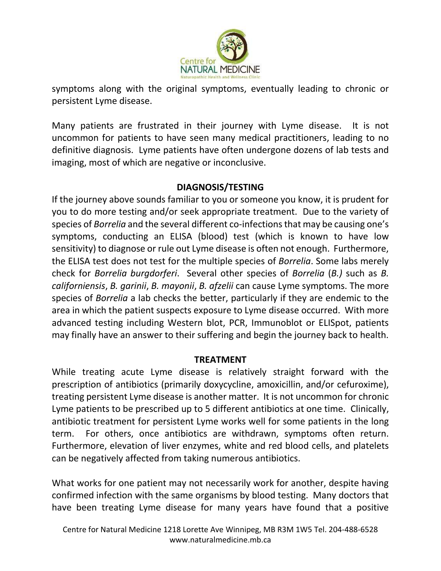

symptoms along with the original symptoms, eventually leading to chronic or persistent Lyme disease.

Many patients are frustrated in their journey with Lyme disease. It is not uncommon for patients to have seen many medical practitioners, leading to no definitive diagnosis. Lyme patients have often undergone dozens of lab tests and imaging, most of which are negative or inconclusive.

# **DIAGNOSIS/TESTING**

If the journey above sounds familiar to you or someone you know, it is prudent for you to do more testing and/or seek appropriate treatment. Due to the variety of species of *Borrelia* and the several different co-infections that may be causing one's symptoms, conducting an ELISA (blood) test (which is known to have low sensitivity) to diagnose or rule out Lyme disease is often not enough. Furthermore, the ELISA test does not test for the multiple species of *Borrelia*. Some labs merely check for *Borrelia burgdorferi*. Several other species of *Borrelia* (*B.)* such as *B. californiensis*, *B. garinii*, *B. mayonii*, *B. afzelii* can cause Lyme symptoms. The more species of *Borrelia* a lab checks the better, particularly if they are endemic to the area in which the patient suspects exposure to Lyme disease occurred. With more advanced testing including Western blot, PCR, Immunoblot or ELISpot, patients may finally have an answer to their suffering and begin the journey back to health.

## **TREATMENT**

While treating acute Lyme disease is relatively straight forward with the prescription of antibiotics (primarily doxycycline, amoxicillin, and/or cefuroxime), treating persistent Lyme disease is another matter. It is not uncommon for chronic Lyme patients to be prescribed up to 5 different antibiotics at one time. Clinically, antibiotic treatment for persistent Lyme works well for some patients in the long term. For others, once antibiotics are withdrawn, symptoms often return. Furthermore, elevation of liver enzymes, white and red blood cells, and platelets can be negatively affected from taking numerous antibiotics.

What works for one patient may not necessarily work for another, despite having confirmed infection with the same organisms by blood testing. Many doctors that have been treating Lyme disease for many years have found that a positive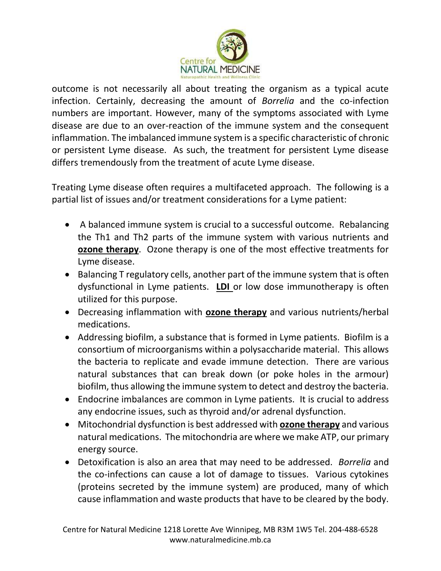

outcome is not necessarily all about treating the organism as a typical acute infection. Certainly, decreasing the amount of *Borrelia* and the co-infection numbers are important. However, many of the symptoms associated with Lyme disease are due to an over-reaction of the immune system and the consequent inflammation. The imbalanced immune system is a specific characteristic of chronic or persistent Lyme disease. As such, the treatment for persistent Lyme disease differs tremendously from the treatment of acute Lyme disease.

Treating Lyme disease often requires a multifaceted approach. The following is a partial list of issues and/or treatment considerations for a Lyme patient:

- A balanced immune system is crucial to a successful outcome. Rebalancing the Th1 and Th2 parts of the immune system with various nutrients and **ozone therapy**. Ozone therapy is one of the most effective treatments for Lyme disease.
- Balancing T regulatory cells, another part of the immune system that is often dysfunctional in Lyme patients. **LDI** or low dose immunotherapy is often utilized for this purpose.
- Decreasing inflammation with **ozone therapy** and various nutrients/herbal medications.
- Addressing biofilm, a substance that is formed in Lyme patients. Biofilm is a consortium of microorganisms within a polysaccharide material. This allows the bacteria to replicate and evade immune detection. There are various natural substances that can break down (or poke holes in the armour) biofilm, thus allowing the immune system to detect and destroy the bacteria.
- Endocrine imbalances are common in Lyme patients. It is crucial to address any endocrine issues, such as thyroid and/or adrenal dysfunction.
- Mitochondrial dysfunction is best addressed with **ozone therapy** and various natural medications. The mitochondria are where we make ATP, our primary energy source.
- Detoxification is also an area that may need to be addressed. *Borrelia* and the co-infections can cause a lot of damage to tissues. Various cytokines (proteins secreted by the immune system) are produced, many of which cause inflammation and waste products that have to be cleared by the body.